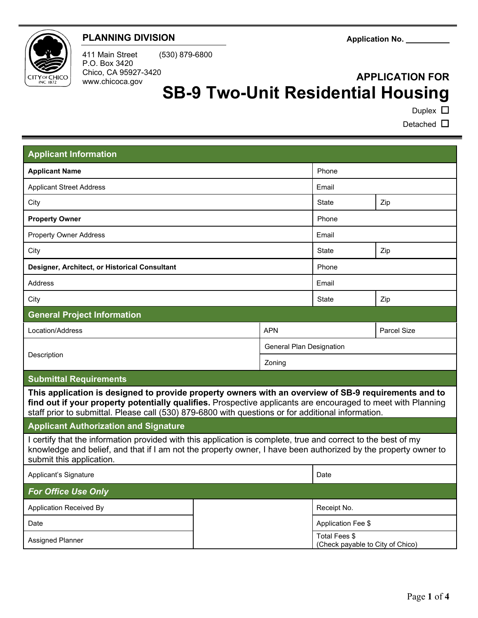

## **PLANNING DIVISION**

411 Main Street (530) 879-6800 P.O. Box 3420 Chico, CA 95927-3420 www.chicoca.gov

# **APPLICATION FOR SB-9 Two-Unit Residential Housing**

Duplex **□** 

l

Detached **□** 

| <b>Applicant Information</b>                                                                                                                                                                                                                                                                                               |  |                                  |                                                   |     |
|----------------------------------------------------------------------------------------------------------------------------------------------------------------------------------------------------------------------------------------------------------------------------------------------------------------------------|--|----------------------------------|---------------------------------------------------|-----|
| <b>Applicant Name</b>                                                                                                                                                                                                                                                                                                      |  |                                  | Phone                                             |     |
| <b>Applicant Street Address</b>                                                                                                                                                                                                                                                                                            |  |                                  | Email                                             |     |
| City                                                                                                                                                                                                                                                                                                                       |  |                                  | <b>State</b>                                      | Zip |
| <b>Property Owner</b>                                                                                                                                                                                                                                                                                                      |  |                                  | Phone                                             |     |
| <b>Property Owner Address</b>                                                                                                                                                                                                                                                                                              |  |                                  | Email                                             |     |
| City                                                                                                                                                                                                                                                                                                                       |  |                                  | State                                             | Zip |
| Designer, Architect, or Historical Consultant                                                                                                                                                                                                                                                                              |  |                                  | Phone                                             |     |
| Address                                                                                                                                                                                                                                                                                                                    |  |                                  | Email                                             |     |
| City                                                                                                                                                                                                                                                                                                                       |  |                                  | <b>State</b>                                      | Zip |
| <b>General Project Information</b>                                                                                                                                                                                                                                                                                         |  |                                  |                                                   |     |
| Location/Address                                                                                                                                                                                                                                                                                                           |  | <b>APN</b><br><b>Parcel Size</b> |                                                   |     |
| Description                                                                                                                                                                                                                                                                                                                |  | <b>General Plan Designation</b>  |                                                   |     |
|                                                                                                                                                                                                                                                                                                                            |  | Zoning                           |                                                   |     |
| <b>Submittal Requirements</b>                                                                                                                                                                                                                                                                                              |  |                                  |                                                   |     |
| This application is designed to provide property owners with an overview of SB-9 requirements and to<br>find out if your property potentially qualifies. Prospective applicants are encouraged to meet with Planning<br>staff prior to submittal. Please call (530) 879-6800 with questions or for additional information. |  |                                  |                                                   |     |
| <b>Applicant Authorization and Signature</b>                                                                                                                                                                                                                                                                               |  |                                  |                                                   |     |
| I certify that the information provided with this application is complete, true and correct to the best of my<br>knowledge and belief, and that if I am not the property owner, I have been authorized by the property owner to<br>submit this application.                                                                |  |                                  |                                                   |     |
| Applicant's Signature                                                                                                                                                                                                                                                                                                      |  |                                  | Date                                              |     |
| <b>For Office Use Only</b>                                                                                                                                                                                                                                                                                                 |  |                                  |                                                   |     |
| Application Received By                                                                                                                                                                                                                                                                                                    |  |                                  | Receipt No.                                       |     |
| Date                                                                                                                                                                                                                                                                                                                       |  |                                  | Application Fee \$                                |     |
| <b>Assigned Planner</b>                                                                                                                                                                                                                                                                                                    |  |                                  | Total Fees \$<br>(Check payable to City of Chico) |     |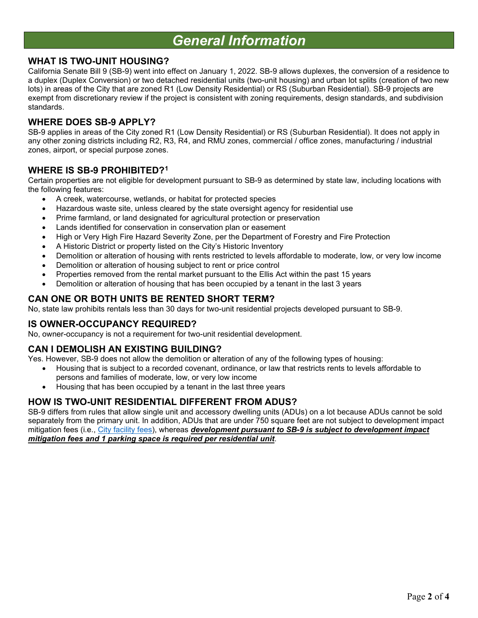# *General Information*

## **WHAT IS TWO-UNIT HOUSING?**

California Senate Bill 9 (SB-9) went into effect on January 1, 2022. SB-9 allows duplexes, the conversion of a residence to a duplex (Duplex Conversion) or two detached residential units (two-unit housing) and urban lot splits (creation of two new lots) in areas of the City that are zoned R1 (Low Density Residential) or RS (Suburban Residential). SB-9 projects are exempt from discretionary review if the project is consistent with zoning requirements, design standards, and subdivision standards.

### **WHERE DOES SB-9 APPLY?**

SB-9 applies in areas of the City zoned R1 (Low Density Residential) or RS (Suburban Residential). It does not apply in any other zoning districts including R2, R3, R4, and RMU zones, commercial / office zones, manufacturing / industrial zones, airport, or special purpose zones.

### **WHERE IS SB-9 PROHIBITED?[1](#page-1-0)**

Certain properties are not eligible for development pursuant to SB-9 as determined by state law, including locations with the following features:

- A creek, watercourse, wetlands, or habitat for protected species
- Hazardous waste site, unless cleared by the state oversight agency for residential use
- Prime farmland, or land designated for agricultural protection or preservation
- Lands identified for conservation in conservation plan or easement
- High or Very High Fire Hazard Severity Zone, per the Department of Forestry and Fire Protection
- A Historic District or property listed on the City's Historic Inventory
- Demolition or alteration of housing with rents restricted to levels affordable to moderate, low, or very low income
- Demolition or alteration of housing subject to rent or price control
- Properties removed from the rental market pursuant to the Ellis Act within the past 15 years
- Demolition or alteration of housing that has been occupied by a tenant in the last 3 years

## **CAN ONE OR BOTH UNITS BE RENTED SHORT TERM?**

No, state law prohibits rentals less than 30 days for two-unit residential projects developed pursuant to SB-9.

#### **IS OWNER-OCCUPANCY REQUIRED?**

No, owner-occupancy is not a requirement for two-unit residential development.

## **CAN I DEMOLISH AN EXISTING BUILDING?**

Yes. However, SB-9 does not allow the demolition or alteration of any of the following types of housing:

- Housing that is subject to a recorded covenant, ordinance, or law that restricts rents to levels affordable to persons and families of moderate, low, or very low income
- Housing that has been occupied by a tenant in the last three years

## **HOW IS TWO-UNIT RESIDENTIAL DIFFERENT FROM ADUS?**

<span id="page-1-0"></span>SB-9 differs from rules that allow single unit and accessory dwelling units (ADUs) on a lot because ADUs cannot be sold separately from the primary unit. In addition, ADUs that are under 750 square feet are not subject to development impact mitigation fees (i.e., [City facility fees\)](https://chico.ca.us/city-fee-schedules), whereas *development pursuant to SB-9 is subject to development impact mitigation fees and 1 parking space is required per residential unit*.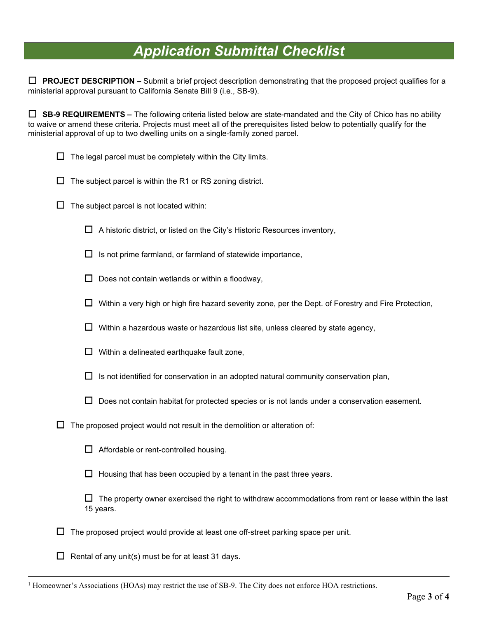## *Application Submittal Checklist*

☐ **PROJECT DESCRIPTION –** Submit a brief project description demonstrating that the proposed project qualifies for a ministerial approval pursuant to California Senate Bill 9 (i.e., SB-9).

☐ **SB-9 REQUIREMENTS –** The following criteria listed below are state-mandated and the City of Chico has no ability to waive or amend these criteria. Projects must meet all of the prerequisites listed below to potentially qualify for the ministerial approval of up to two dwelling units on a single-family zoned parcel.

- $\Box$  The legal parcel must be completely within the City limits.
- $\Box$  The subject parcel is within the R1 or RS zoning district.
- $\Box$  The subject parcel is not located within:
	- $\Box$  A historic district, or listed on the City's Historic Resources inventory,
	- $\Box$  Is not prime farmland, or farmland of statewide importance,
	- $\Box$  Does not contain wetlands or within a floodway,
	- ☐ Within a very high or high fire hazard severity zone, per the Dept. of Forestry and Fire Protection,
	- $\Box$  Within a hazardous waste or hazardous list site, unless cleared by state agency,
	- $\Box$  Within a delineated earthquake fault zone,
	- $\Box$  Is not identified for conservation in an adopted natural community conservation plan,
	- $\Box$  Does not contain habitat for protected species or is not lands under a conservation easement.
- $\Box$  The proposed project would not result in the demolition or alteration of:
	- $\Box$  Affordable or rent-controlled housing.
	- $\Box$  Housing that has been occupied by a tenant in the past three years.
	- $\Box$  The property owner exercised the right to withdraw accommodations from rent or lease within the last 15 years.
- $\Box$  The proposed project would provide at least one off-street parking space per unit.
- $\Box$  Rental of any unit(s) must be for at least 31 days.